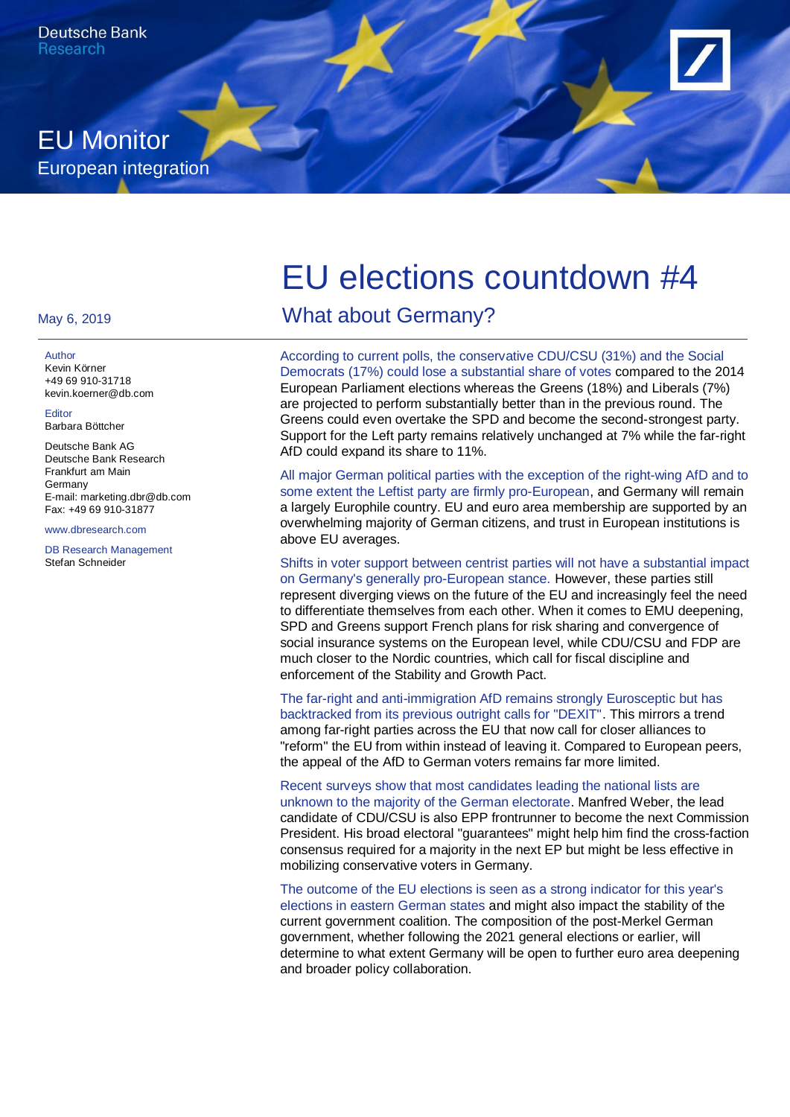

#### May 6, 2019

#### **Author**

Kevin Körner +49 69 910-31718 kevin.koerner@db.com

Editor Barbara Böttcher

Deutsche Bank AG Deutsche Bank Research Frankfurt am Main Germany E-mail: marketing.dbr@db.com Fax: +49 69 910-31877

www.dbresearch.com

DB Research Management Stefan Schneider

# EU elections countdown #4

What about Germany?

According to current polls, the conservative CDU/CSU (31%) and the Social Democrats (17%) could lose a substantial share of votes compared to the 2014 European Parliament elections whereas the Greens (18%) and Liberals (7%) are projected to perform substantially better than in the previous round. The Greens could even overtake the SPD and become the second-strongest party. Support for the Left party remains relatively unchanged at 7% while the far-right AfD could expand its share to 11%.

All major German political parties with the exception of the right-wing AfD and to some extent the Leftist party are firmly pro-European, and Germany will remain a largely Europhile country. EU and euro area membership are supported by an overwhelming majority of German citizens, and trust in European institutions is above EU averages.

Shifts in voter support between centrist parties will not have a substantial impact on Germany's generally pro-European stance. However, these parties still represent diverging views on the future of the EU and increasingly feel the need to differentiate themselves from each other. When it comes to EMU deepening, SPD and Greens support French plans for risk sharing and convergence of social insurance systems on the European level, while CDU/CSU and FDP are much closer to the Nordic countries, which call for fiscal discipline and enforcement of the Stability and Growth Pact.

The far-right and anti-immigration AfD remains strongly Eurosceptic but has backtracked from its previous outright calls for "DEXIT". This mirrors a trend among far-right parties across the EU that now call for closer alliances to "reform" the EU from within instead of leaving it. Compared to European peers, the appeal of the AfD to German voters remains far more limited.

Recent surveys show that most candidates leading the national lists are unknown to the majority of the German electorate. Manfred Weber, the lead candidate of CDU/CSU is also EPP frontrunner to become the next Commission President. His broad electoral "guarantees" might help him find the cross-faction consensus required for a majority in the next EP but might be less effective in mobilizing conservative voters in Germany.

The outcome of the EU elections is seen as a strong indicator for this year's elections in eastern German states and might also impact the stability of the current government coalition. The composition of the post-Merkel German government, whether following the 2021 general elections or earlier, will determine to what extent Germany will be open to further euro area deepening and broader policy collaboration.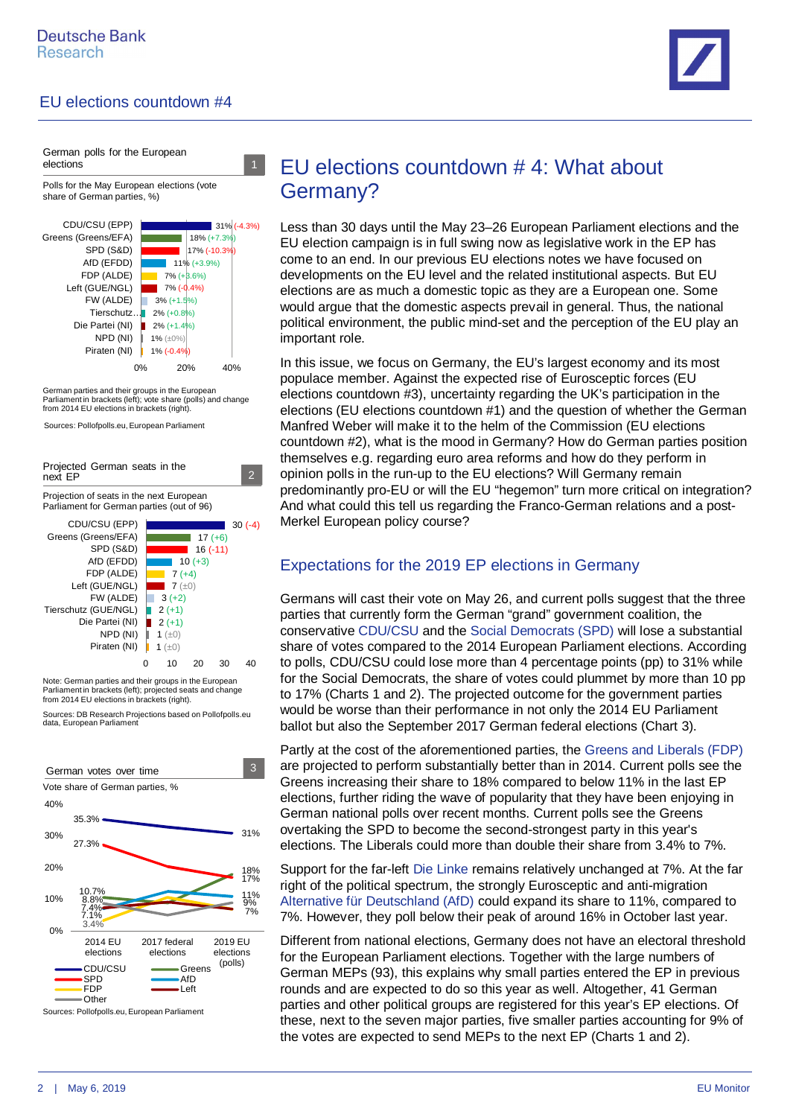

German polls for the European elections Polls for the May European elections (vote share of German parties, %)



German parties and their groups in the European Parliament in brackets (left); vote share (polls) and change from 2014 EU elections in brackets (right)

Sources: Pollofpolls.eu, European Parliament



Note: German parties and their groups in the European Parliament in brackets (left); projected seats and change from 2014 EU elections in brackets (right).

Sources: DB Research Projections based on Pollofpolls.eu data, European Parliament



EU elections countdown # 4: What about Germany?

Less than 30 days until the May 23–26 European Parliament elections and the EU election campaign is in full swing now as legislative work in the EP has come to an end. In our previous EU elections notes we have focused on developments on the EU level and the related institutional aspects. But EU elections are as much a domestic topic as they are a European one. Some would argue that the domestic aspects prevail in general. Thus, the national political environment, the public mind-set and the perception of the EU play an important role.

In this issue, we focus on Germany, the EU's largest economy and its most populace member. Against the expected rise of Eurosceptic forces ([EU](https://www.dbresearch.com/PROD/RPS_EN-PROD/PROD0000000000490603/EU_elections_countdown_%233%3A_Meet_the_EU%28ro%29sceptics.PDF) [elections countdown #3\)](https://www.dbresearch.com/PROD/RPS_EN-PROD/PROD0000000000490603/EU_elections_countdown_%233%3A_Meet_the_EU%28ro%29sceptics.PDF), uncertainty regarding the UK's participation in the elections [\(EU elections countdown #1\)](https://www.dbresearch.com/PROD/RPS_EN-PROD/PROD0000000000487617/EU_elections_countdown_%231%3A_Brexit_delay_and_the_ne.PDF) and the question of whether the German Manfred Weber will make it to the helm of the Commission ([EU elections](https://www.dbresearch.com/PROD/RPS_EN-PROD/PROD0000000000488232/EU_elections_countdown_%232%3A_Tough_race_to_the_top_o.PDF) [countdown #2\)](https://www.dbresearch.com/PROD/RPS_EN-PROD/PROD0000000000488232/EU_elections_countdown_%232%3A_Tough_race_to_the_top_o.PDF), what is the mood in Germany? How do German parties position themselves e.g. regarding euro area reforms and how do they perform in opinion polls in the run-up to the EU elections? Will Germany remain predominantly pro-EU or will the EU "hegemon" turn more critical on integration? And what could this tell us regarding the Franco-German relations and a post-Merkel European policy course?

### Expectations for the 2019 EP elections in Germany

Germans will cast their vote on May 26, and current polls suggest that the three parties that currently form the German "grand" government coalition, the conservative CDU/CSU and the Social Democrats (SPD) will lose a substantial share of votes compared to the 2014 European Parliament elections. According to polls, CDU/CSU could lose more than 4 percentage points (pp) to 31% while for the Social Democrats, the share of votes could plummet by more than 10 pp to 17% (Charts 1 and 2). The projected outcome for the government parties would be worse than their performance in not only the 2014 EU Parliament ballot but also the September 2017 German federal elections (Chart 3).

Partly at the cost of the aforementioned parties, the Greens and Liberals (FDP) are projected to perform substantially better than in 2014. Current polls see the Greens increasing their share to 18% compared to below 11% in the last EP elections, further riding the wave of popularity that they have been enjoying in German national polls over recent months. Current polls see the Greens overtaking the SPD to become the second-strongest party in this year's elections. The Liberals could more than double their share from 3.4% to 7%.

Support for the far-left Die Linke remains relatively unchanged at 7%. At the far right of the political spectrum, the strongly Eurosceptic and anti-migration Alternative für Deutschland (AfD) could expand its share to 11%, compared to 7%. However, they poll below their peak of around 16% in October last year.

Different from national elections, Germany does not have an electoral threshold for the European Parliament elections. Together with the large numbers of German MEPs (93), this explains why small parties entered the EP in previous rounds and are expected to do so this year as well. Altogether, 41 German parties and other political groups are registered for this year's EP elections. Of these, next to the seven major parties, five smaller parties accounting for 9% of the votes are expected to send MEPs to the next EP (Charts 1 and 2).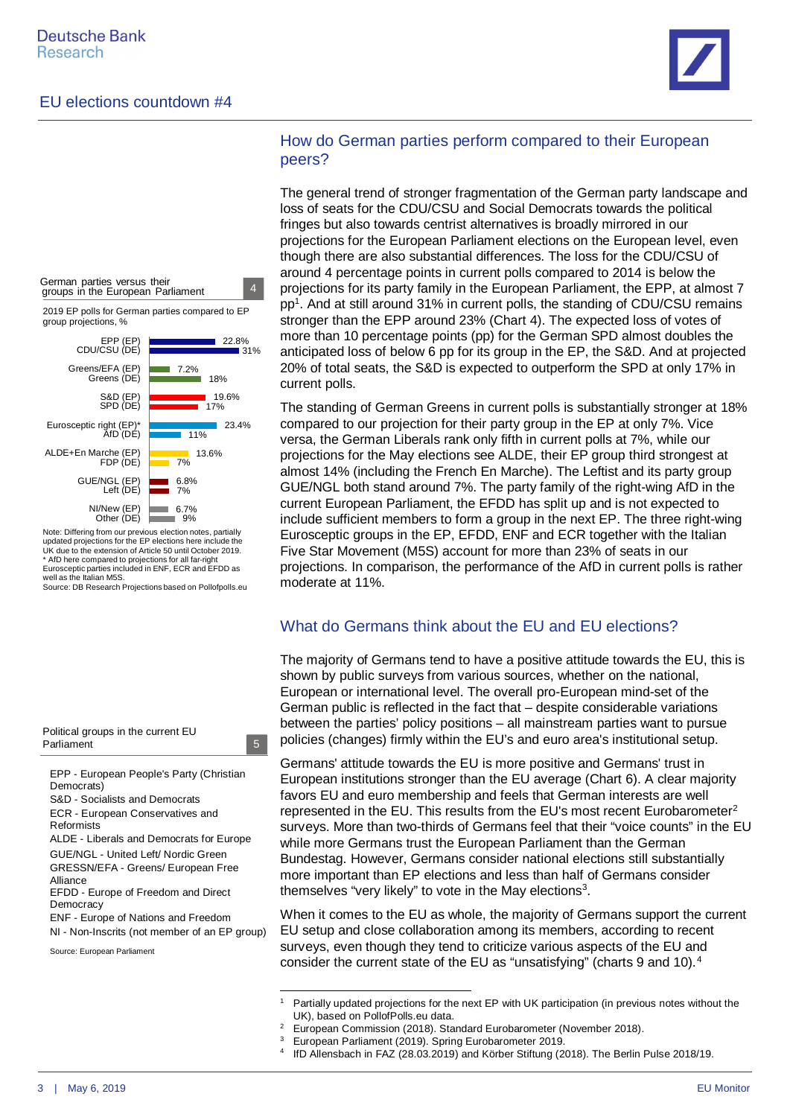



Note: Differing from our previous election notes, partially updated projections for the EP elections here include the UK due to the extension of Article 50 until October 2019. \* AfD here compared to projections for all far-right Eurosceptic parties included in ENF, ECR and EFDD as well as the Italian M5S.

Source: DB Research Projections based on Pollofpolls.eu



EPP - European People's Party (Christian Democrats)

5

5

S&D - Socialists and Democrats

ECR - European Conservatives and Reformists ALDE - Liberals and Democrats for Europe

GUE/NGL - United Left/ Nordic Green

GRESSN/EFA - Greens/ European Free Alliance

EFDD - Europe of Freedom and Direct **Democracy** 

ENF - Europe of Nations and Freedom NI - Non-Inscrits (not member of an EP group)

Source: European Parliament

### How do German parties perform compared to their European peers?

The general trend of stronger fragmentation of the German party landscape and loss of seats for the CDU/CSU and Social Democrats towards the political fringes but also towards centrist alternatives is broadly mirrored in our projections for the European Parliament elections on the European level, even though there are also substantial differences. The loss for the CDU/CSU of around 4 percentage points in current polls compared to 2014 is below the projections for its party family in the European Parliament, the EPP, at almost 7 pp<sup>[1](#page-2-0)</sup>. And at still around 31% in current polls, the standing of CDU/CSU remains stronger than the EPP around 23% (Chart 4). The expected loss of votes of more than 10 percentage points (pp) for the German SPD almost doubles the anticipated loss of below 6 pp for its group in the EP, the S&D. And at projected 20% of total seats, the S&D is expected to outperform the SPD at only 17% in current polls.

The standing of German Greens in current polls is substantially stronger at 18% compared to our projection for their party group in the EP at only 7%. Vice versa, the German Liberals rank only fifth in current polls at 7%, while our projections for the May elections see ALDE, their EP group third strongest at almost 14% (including the French En Marche). The Leftist and its party group GUE/NGL both stand around 7%. The party family of the right-wing AfD in the current European Parliament, the EFDD has split up and is not expected to include sufficient members to form a group in the next EP. The three right-wing Eurosceptic groups in the EP, EFDD, ENF and ECR together with the Italian Five Star Movement (M5S) account for more than 23% of seats in our projections. In comparison, the performance of the AfD in current polls is rather moderate at 11%.

#### What do Germans think about the EU and EU elections?

The majority of Germans tend to have a positive attitude towards the EU, this is shown by public surveys from various sources, whether on the national, European or international level. The overall pro-European mind-set of the German public is reflected in the fact that – despite considerable variations between the parties' policy positions – all mainstream parties want to pursue policies (changes) firmly within the EU's and euro area's institutional setup.

Germans' attitude towards the EU is more positive and Germans' trust in European institutions stronger than the EU average (Chart 6). A clear majority favors EU and euro membership and feels that German interests are well represented in the EU. This results from the EU's most recent Eurobarometer[2](#page-2-1) surveys. More than two-thirds of Germans feel that their "voice counts" in the EU while more Germans trust the European Parliament than the German Bundestag. However, Germans consider national elections still substantially more important than EP elections and less than half of Germans consider themselves "very likely" to vote in the May elections<sup>[3](#page-2-2)</sup>.

When it comes to the EU as whole, the majority of Germans support the current EU setup and close collaboration among its members, according to recent surveys, even though they tend to criticize various aspects of the EU and consider the current state of the EU as "unsatisfying" (charts 9 and 10).[4](#page-2-3)

<span id="page-2-0"></span><sup>1</sup> Partially updated projections for the next EP with UK participation (in previous notes without the UK), based on PollofPolls.eu data. 2

<span id="page-2-1"></span>European Commission (2018). Standard Eurobarometer (November 2018).

<span id="page-2-2"></span><sup>3</sup> European Parliament (2019). Spring Eurobarometer 2019. 4

<span id="page-2-3"></span>IfD Allensbach in FAZ (28.03.2019) and Körber Stiftung (2018). The Berlin Pulse 2018/19.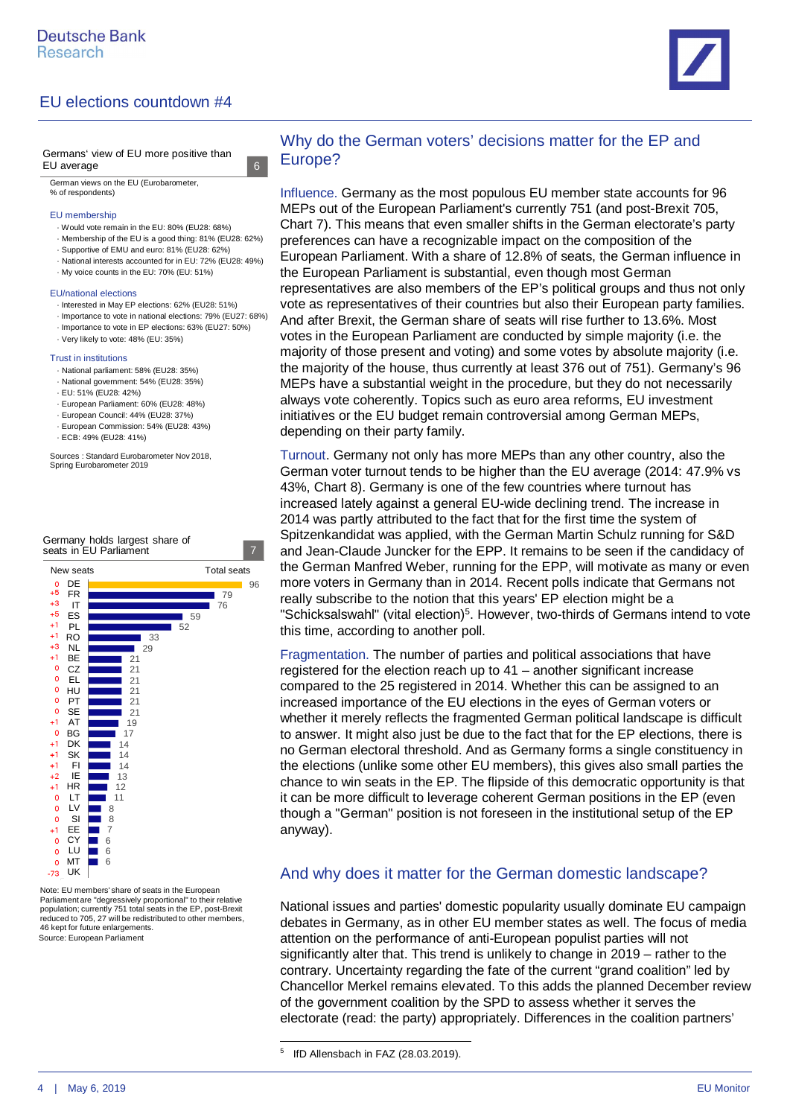



German views on the EU (Eurobarometer, % of respondents)

#### EU membership

· Would vote remain in the EU: 80% (EU28: 68%)

6

6

- · Membership of the EU is a good thing: 81% (EU28: 62%)
- · Supportive of EMU and euro: 81% (EU28: 62%)
- · National interests accounted for in EU: 72% (EU28: 49%)
- · My voice counts in the EU: 70% (EU: 51%)

#### EU/national elections

- · Interested in May EP elections: 62% (EU28: 51%)
- · Importance to vote in national elections: 79% (EU27: 68%)
- · Importance to vote in EP elections: 63% (EU27: 50%)
- · Very likely to vote: 48% (EU: 35%)

#### Trust in institutions

- · National parliament: 58% (EU28: 35%)
- · National government: 54% (EU28: 35%)
- · EU: 51% (EU28: 42%)
- · European Parliament: 60% (EU28: 48%)
- · European Council: 44% (EU28: 37%)
- · European Commission: 54% (EU28: 43%)
- · ECB: 49% (EU28: 41%)

Sources : Standard Eurobarometer Nov 2018, Spring Eurobarometer 2019

Germany holds largest share of



Source: European Parliament Note: EU members' share of seats in the European Parliament are "degressively proportional" to their relative population; currently 751 total seats in the EP, post-Brexit reduced to 705, 27 will be redistributed to other members, 46 kept for future enlargements.

#### Why do the German voters' decisions matter for the EP and Europe?

Influence. Germany as the most populous EU member state accounts for 96 MEPs out of the European Parliament's currently 751 (and post-Brexit 705, Chart 7). This means that even smaller shifts in the German electorate's party preferences can have a recognizable impact on the composition of the European Parliament. With a share of 12.8% of seats, the German influence in the European Parliament is substantial, even though most German representatives are also members of the EP's political groups and thus not only vote as representatives of their countries but also their European party families. And after Brexit, the German share of seats will rise further to 13.6%. Most votes in the European Parliament are conducted by simple majority (i.e. the majority of those present and voting) and some votes by absolute majority (i.e. the majority of the house, thus currently at least 376 out of 751). Germany's 96 MEPs have a substantial weight in the procedure, but they do not necessarily always vote coherently. Topics such as euro area reforms, EU investment initiatives or the EU budget remain controversial among German MEPs, depending on their party family.

Turnout. Germany not only has more MEPs than any other country, also the German voter turnout tends to be higher than the EU average (2014: 47.9% vs 43%, Chart 8). Germany is one of the few countries where turnout has increased lately against a general EU-wide declining trend. The increase in 2014 was partly attributed to the fact that for the first time the system of Spitzenkandidat was applied, with the German Martin Schulz running for S&D and Jean-Claude Juncker for the EPP. It remains to be seen if the candidacy of the German Manfred Weber, running for the EPP, will motivate as many or even more voters in Germany than in 2014. Recent polls indicate that Germans not really subscribe to the notion that this years' EP election might be a "Schicksalswahl" (vital election)<sup>[5](#page-3-0)</sup>. However, two-thirds of Germans intend to vote this time, according to another poll.

Fragmentation. The number of parties and political associations that have registered for the election reach up to 41 – another significant increase compared to the 25 registered in 2014. Whether this can be assigned to an increased importance of the EU elections in the eyes of German voters or whether it merely reflects the fragmented German political landscape is difficult to answer. It might also just be due to the fact that for the EP elections, there is no German electoral threshold. And as Germany forms a single constituency in the elections (unlike some other EU members), this gives also small parties the chance to win seats in the EP. The flipside of this democratic opportunity is that it can be more difficult to leverage coherent German positions in the EP (even though a "German" position is not foreseen in the institutional setup of the EP anyway).

#### And why does it matter for the German domestic landscape?

National issues and parties' domestic popularity usually dominate EU campaign debates in Germany, as in other EU member states as well. The focus of media attention on the performance of anti-European populist parties will not significantly alter that. This trend is unlikely to change in 2019 – rather to the contrary. Uncertainty regarding the fate of the current "grand coalition" led by Chancellor Merkel remains elevated. To this adds the planned December review of the government coalition by the SPD to assess whether it serves the electorate (read: the party) appropriately. Differences in the coalition partners'

<span id="page-3-0"></span><sup>5</sup> IfD Allensbach in FAZ (28.03.2019).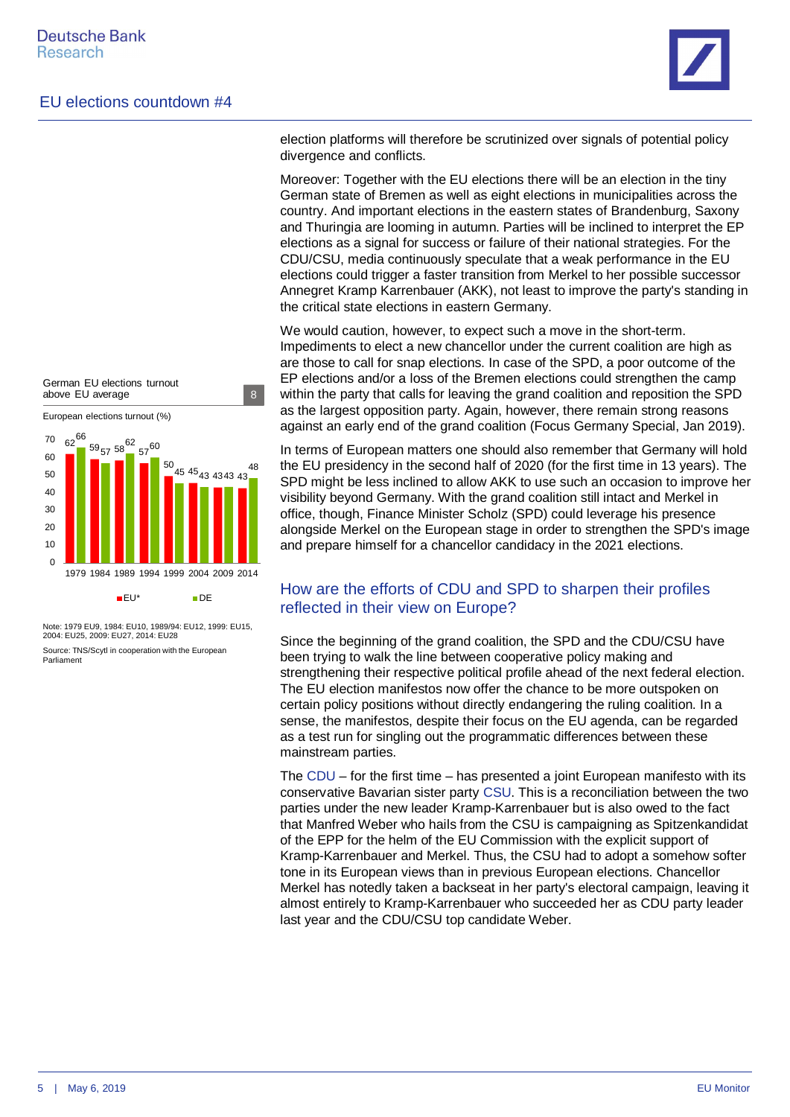

 $62^{50}$  59<sub>57</sub> 58<sup>62</sup> 57 50 45 45<sub>43 43</sub>43 43 66  $57^{60}$ 48  $\Omega$ 10  $20$ 30  $40$ 50 60 70 1979 1984 1989 1994 1999 2004 2009 2014  $EU^*$  DE European elections turnout (%) German EU elections turnout above EU average 8

Source: TNS/Scytl in cooperation with the European Parliament Note: 1979 EU9, 1984: EU10, 1989/94: EU12, 1999: EU15, 2004: EU25, 2009: EU27, 2014: EU28

election platforms will therefore be scrutinized over signals of potential policy divergence and conflicts.

Moreover: Together with the EU elections there will be an election in the tiny German state of Bremen as well as eight elections in municipalities across the country. And important elections in the eastern states of Brandenburg, Saxony and Thuringia are looming in autumn. Parties will be inclined to interpret the EP elections as a signal for success or failure of their national strategies. For the CDU/CSU, media continuously speculate that a weak performance in the EU elections could trigger a faster transition from Merkel to her possible successor Annegret Kramp Karrenbauer (AKK), not least to improve the party's standing in the critical state elections in eastern Germany.

We would caution, however, to expect such a move in the short-term. Impediments to elect a new chancellor under the current coalition are high as are those to call for snap elections. In case of the SPD, a poor outcome of the EP elections and/or a loss of the Bremen elections could strengthen the camp within the party that calls for leaving the grand coalition and reposition the SPD as the largest opposition party. Again, however, there remain strong reasons against an early end of the grand coalition ([Focus Germany Special, Jan 2019\)](https://research.db.com/Research/Article?rid=37fbf5cf_dc41_4324_b897_9f4e8d7e4b7d_604&kid=RP0001).

In terms of European matters one should also remember that Germany will hold the EU presidency in the second half of 2020 (for the first time in 13 years). The SPD might be less inclined to allow AKK to use such an occasion to improve her visibility beyond Germany. With the grand coalition still intact and Merkel in office, though, Finance Minister Scholz (SPD) could leverage his presence alongside Merkel on the European stage in order to strengthen the SPD's image and prepare himself for a chancellor candidacy in the 2021 elections.

### How are the efforts of CDU and SPD to sharpen their profiles reflected in their view on Europe?

Since the beginning of the grand coalition, the SPD and the CDU/CSU have been trying to walk the line between cooperative policy making and strengthening their respective political profile ahead of the next federal election. The EU election manifestos now offer the chance to be more outspoken on certain policy positions without directly endangering the ruling coalition. In a sense, the manifestos, despite their focus on the EU agenda, can be regarded as a test run for singling out the programmatic differences between these mainstream parties.

The CDU – for the first time – has presented a joint European manifesto with its conservative Bavarian sister party CSU. This is a reconciliation between the two parties under the new leader Kramp-Karrenbauer but is also owed to the fact that Manfred Weber who hails from the CSU is campaigning as Spitzenkandidat of the EPP for the helm of the EU Commission with the explicit support of Kramp-Karrenbauer and Merkel. Thus, the CSU had to adopt a somehow softer tone in its European views than in previous European elections. Chancellor Merkel has notedly taken a backseat in her party's electoral campaign, leaving it almost entirely to Kramp-Karrenbauer who succeeded her as CDU party leader last year and the CDU/CSU top candidate Weber.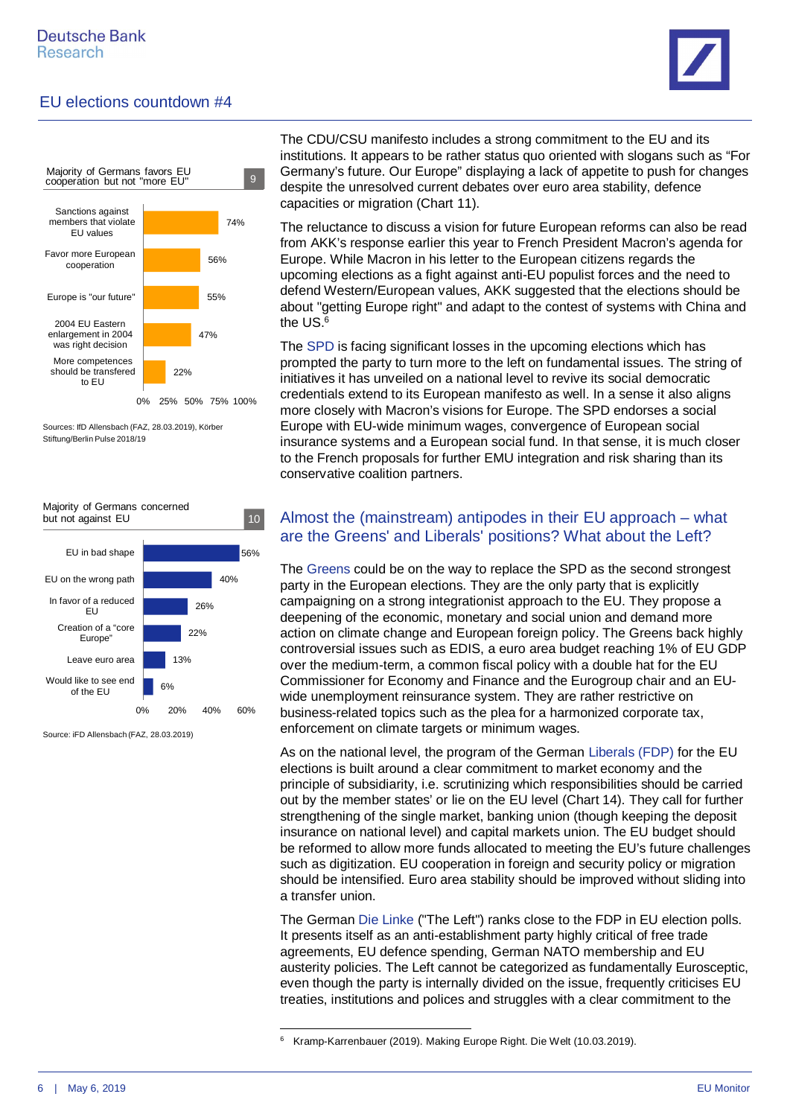



Sources: IfD Allensbach (FAZ, 28.03.2019), Körber Stiftung/Berlin Pulse 2018/19



Source: iFD Allensbach (FAZ, 28.03.2019)

The CDU/CSU manifesto includes a strong commitment to the EU and its institutions. It appears to be rather status quo oriented with slogans such as "For Germany's future. Our Europe" displaying a lack of appetite to push for changes despite the unresolved current debates over euro area stability, defence capacities or migration (Chart 11).

The reluctance to discuss a vision for future European reforms can also be read from AKK's response earlier this year to French President Macron's agenda for Europe. While Macron in his letter to the European citizens regards the upcoming elections as a fight against anti-EU populist forces and the need to defend Western/European values, AKK suggested that the elections should be about "getting Europe right" and adapt to the contest of systems with China and the US.[6](#page-5-0)

The SPD is facing significant losses in the upcoming elections which has prompted the party to turn more to the left on fundamental issues. The string of initiatives it has unveiled on a national level to revive its social democratic credentials extend to its European manifesto as well. In a sense it also aligns more closely with Macron's visions for Europe. The SPD endorses a social Europe with EU-wide minimum wages, convergence of European social insurance systems and a European social fund. In that sense, it is much closer to the French proposals for further EMU integration and risk sharing than its conservative coalition partners.

### Almost the (mainstream) antipodes in their EU approach – what are the Greens' and Liberals' positions? What about the Left?

The Greens could be on the way to replace the SPD as the second strongest party in the European elections. They are the only party that is explicitly campaigning on a strong integrationist approach to the EU. They propose a deepening of the economic, monetary and social union and demand more action on climate change and European foreign policy. The Greens back highly controversial issues such as EDIS, a euro area budget reaching 1% of EU GDP over the medium-term, a common fiscal policy with a double hat for the EU Commissioner for Economy and Finance and the Eurogroup chair and an EUwide unemployment reinsurance system. They are rather restrictive on business-related topics such as the plea for a harmonized corporate tax, enforcement on climate targets or minimum wages.

As on the national level, the program of the German Liberals (FDP) for the EU elections is built around a clear commitment to market economy and the principle of subsidiarity, i.e. scrutinizing which responsibilities should be carried out by the member states' or lie on the EU level (Chart 14). They call for further strengthening of the single market, banking union (though keeping the deposit insurance on national level) and capital markets union. The EU budget should be reformed to allow more funds allocated to meeting the EU's future challenges such as digitization. EU cooperation in foreign and security policy or migration should be intensified. Euro area stability should be improved without sliding into a transfer union.

The German Die Linke ("The Left") ranks close to the FDP in EU election polls. It presents itself as an anti-establishment party highly critical of free trade agreements, EU defence spending, German NATO membership and EU austerity policies. The Left cannot be categorized as fundamentally Eurosceptic, even though the party is internally divided on the issue, frequently criticises EU treaties, institutions and polices and struggles with a clear commitment to the

<span id="page-5-0"></span><sup>6</sup> [Kramp-Karrenbauer \(2019\). Making Europe Right. Die Welt \(10.03.2019\).](https://www.welt.de/politik/article190051703/Annegret-Kramp-Karrenbauer-Making-Europe-Right.html)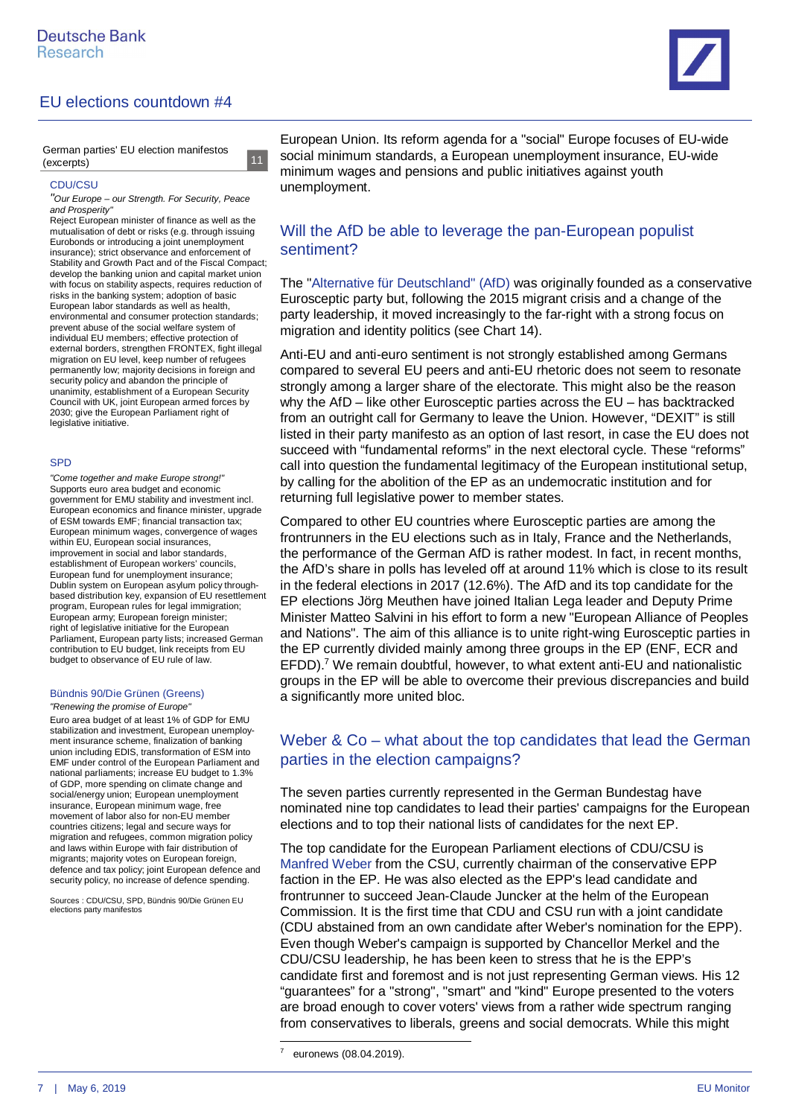

German parties' EU election manifestos (excerpts)

#### CDU/CSU

*"Our Europe – our Strength. For Security, Peace and Prosperity"*

11 11

Reject European minister of finance as well as the mutualisation of debt or risks (e.g. through issuing Eurobonds or introducing a joint unemployment insurance); strict observance and enforcement of Stability and Growth Pact and of the Fiscal Compact; develop the banking union and capital market union with focus on stability aspects, requires reduction of risks in the banking system; adoption of basic European labor standards as well as health, environmental and consumer protection standards; prevent abuse of the social welfare system of individual EU members; effective protection of external borders, strengthen FRONTEX, fight illegal migration on EU level, keep number of refugees permanently low; majority decisions in foreign and security policy and abandon the principle of unanimity, establishment of a European Security Council with UK, joint European armed forces by 2030; give the European Parliament right of legislative initiative.

#### SPD

*"Come together and make Europe strong!"* Supports euro area budget and economic government for EMU stability and investment incl. European economics and finance minister, upgrade of ESM towards EMF; financial transaction tax; European minimum wages, convergence of wages within EU, European social insurances, improvement in social and labor standards, establishment of European workers' councils, European fund for unemployment insurance; Dublin system on European asylum policy throughbased distribution key, expansion of EU resettlement program, European rules for legal immigration; European army; European foreign minister; right of legislative initiative for the European Parliament, European party lists; increased German contribution to EU budget, link receipts from EU budget to observance of EU rule of law.

#### Bündnis 90/Die Grünen (Greens)

*"Renewing the promise of Europe"*

Euro area budget of at least 1% of GDP for EMU stabilization and investment, European unemployment insurance scheme, finalization of banking union including EDIS, transformation of ESM into EMF under control of the European Parliament and national parliaments; increase EU budget to 1.3% of GDP, more spending on climate change and social/energy union; European unemployment insurance, European minimum wage, free movement of labor also for non-EU member countries citizens; legal and secure ways for migration and refugees, common migration policy and laws within Europe with fair distribution of migrants; majority votes on European foreign, defence and tax policy; joint European defence and security policy, no increase of defence spending.

Sources : CDU/CSU, SPD, Bündnis 90/Die Grünen EU elections party manifestos

European Union. Its reform agenda for a "social" Europe focuses of EU-wide social minimum standards, a European unemployment insurance, EU-wide minimum wages and pensions and public initiatives against youth unemployment.

#### Will the AfD be able to leverage the pan-European populist sentiment?

The "Alternative für Deutschland" (AfD) was originally founded as a conservative Eurosceptic party but, following the 2015 migrant crisis and a change of the party leadership, it moved increasingly to the far-right with a strong focus on migration and identity politics (see Chart 14).

Anti-EU and anti-euro sentiment is not strongly established among Germans compared to several EU peers and anti-EU rhetoric does not seem to resonate strongly among a larger share of the electorate. This might also be the reason why the AfD – like other Eurosceptic parties across the EU – has backtracked from an outright call for Germany to leave the Union. However, "DEXIT" is still listed in their party manifesto as an option of last resort, in case the EU does not succeed with "fundamental reforms" in the next electoral cycle. These "reforms" call into question the fundamental legitimacy of the European institutional setup, by calling for the abolition of the EP as an undemocratic institution and for returning full legislative power to member states.

Compared to other EU countries where Eurosceptic parties are among the frontrunners in the EU elections such as in Italy, France and the Netherlands, the performance of the German AfD is rather modest. In fact, in recent months, the AfD's share in polls has leveled off at around 11% which is close to its result in the federal elections in 2017 (12.6%). The AfD and its top candidate for the EP elections Jörg Meuthen have joined Italian Lega leader and Deputy Prime Minister Matteo Salvini in his effort to form a new "European Alliance of Peoples and Nations". The aim of this alliance is to unite right-wing Eurosceptic parties in the EP currently divided mainly among three groups in the EP (ENF, ECR and EFDD).<sup>[7](#page-6-0)</sup> We remain doubtful, however, to what extent anti-EU and nationalistic groups in the EP will be able to overcome their previous discrepancies and build a significantly more united bloc.

#### Weber & Co – what about the top candidates that lead the German parties in the election campaigns?

The seven parties currently represented in the German Bundestag have nominated nine top candidates to lead their parties' campaigns for the European elections and to top their national lists of candidates for the next EP.

The top candidate for the European Parliament elections of CDU/CSU is Manfred Weber from the CSU, currently chairman of the conservative EPP faction in the EP. He was also elected as the EPP's lead candidate and frontrunner to succeed Jean-Claude Juncker at the helm of the European Commission. It is the first time that CDU and CSU run with a joint candidate (CDU abstained from an own candidate after Weber's nomination for the EPP). Even though Weber's campaign is supported by Chancellor Merkel and the CDU/CSU leadership, he has been keen to stress that he is the EPP's candidate first and foremost and is not just representing German views. His [12](https://g8fip1kplyr33r3krz5b97d1-wpengine.netdna-ssl.com/wp-content/uploads/2019/04/Weber_12-points.pdf) ["guarantees"](https://g8fip1kplyr33r3krz5b97d1-wpengine.netdna-ssl.com/wp-content/uploads/2019/04/Weber_12-points.pdf) for a "strong", "smart" and "kind" Europe presented to the voters are broad enough to cover voters' views from a rather wide spectrum ranging from conservatives to liberals, greens and social democrats. While this might

7

<span id="page-6-0"></span>[euronews \(08.04.2019\).](https://www.euronews.com/2019/04/08/salvini-makes-moves-to-forge-a-european-right-wing-alliance-ahead-of-eu-elections)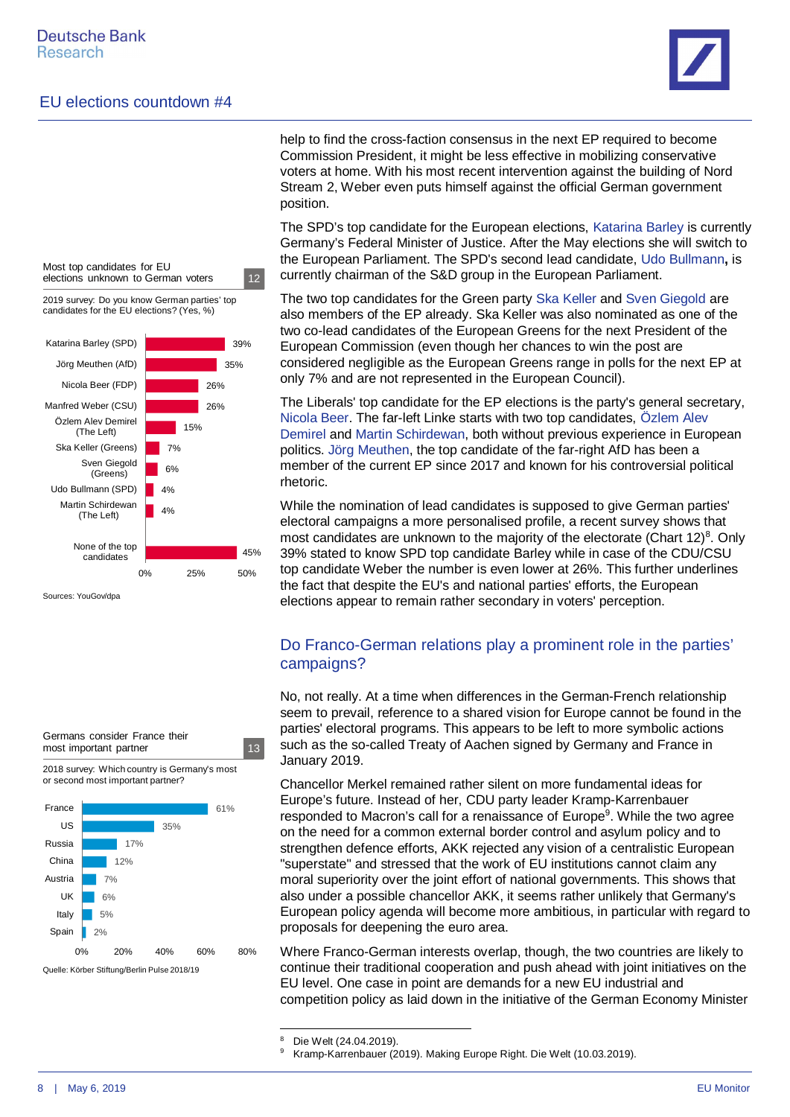



Sources: YouGov/dpa



help to find the cross-faction consensus in the next EP required to become Commission President, it might be less effective in mobilizing conservative voters at home. With his most recent intervention against the building of Nord Stream 2, Weber even puts himself against the official German government position.

The SPD's top candidate for the European elections, Katarina Barley is currently Germany's Federal Minister of Justice. After the May elections she will switch to the European Parliament. The SPD's second lead candidate, Udo Bullmann**,** is currently chairman of the S&D group in the European Parliament.

The two top candidates for the Green party Ska Keller and Sven Giegold are also members of the EP already. Ska Keller was also nominated as one of the two co-lead candidates of the European Greens for the next President of the European Commission (even though her chances to win the post are considered negligible as the European Greens range in polls for the next EP at only 7% and are not represented in the European Council).

The Liberals' top candidate for the EP elections is the party's general secretary, Nicola Beer. The far-left Linke starts with two top candidates, Özlem Alev Demirel and Martin Schirdewan, both without previous experience in European politics. Jörg Meuthen, the top candidate of the far-right AfD has been a member of the current EP since 2017 and known for his controversial political rhetoric.

While the nomination of lead candidates is supposed to give German parties' electoral campaigns a more personalised profile, a recent survey shows that most candidates are unknown to the majority of the electorate (Chart  $12)^8$  $12)^8$ . Only 39% stated to know SPD top candidate Barley while in case of the CDU/CSU top candidate Weber the number is even lower at 26%. This further underlines the fact that despite the EU's and national parties' efforts, the European elections appear to remain rather secondary in voters' perception.

#### Do Franco-German relations play a prominent role in the parties' campaigns?

No, not really. At a time when differences in the German-French relationship seem to prevail, reference to a shared vision for Europe cannot be found in the parties' electoral programs. This appears to be left to more symbolic actions such as the so-called Treaty of Aachen signed by Germany and France in January 2019.

Chancellor Merkel remained rather silent on more fundamental ideas for Europe's future. Instead of her, CDU party leader Kramp-Karrenbauer responded to Macron's call for a renaissance of Europe<sup>[9](#page-7-1)</sup>. While the two agree on the need for a common external border control and asylum policy and to strengthen defence efforts, AKK rejected any vision of a centralistic European "superstate" and stressed that the work of EU institutions cannot claim any moral superiority over the joint effort of national governments. This shows that also under a possible chancellor AKK, it seems rather unlikely that Germany's European policy agenda will become more ambitious, in particular with regard to proposals for deepening the euro area.

Where Franco-German interests overlap, though, the two countries are likely to continue their traditional cooperation and push ahead with joint initiatives on the EU level. One case in point are demands for a new EU industrial and competition policy as laid down in the initiative of the German Economy Minister

<span id="page-7-0"></span><sup>8</sup> [Die Welt \(24.04.2019\).](https://www.welt.de/politik/deutschland/article192368479/Europawahl-Mehrheit-der-Deutschen-kennt-keinen-Spitzenkandidaten.html)

<span id="page-7-1"></span><sup>9</sup> [Kramp-Karrenbauer \(2019\). Making Europe Right. Die Welt \(10.03.2019\).](https://www.welt.de/politik/article190051703/Annegret-Kramp-Karrenbauer-Making-Europe-Right.html)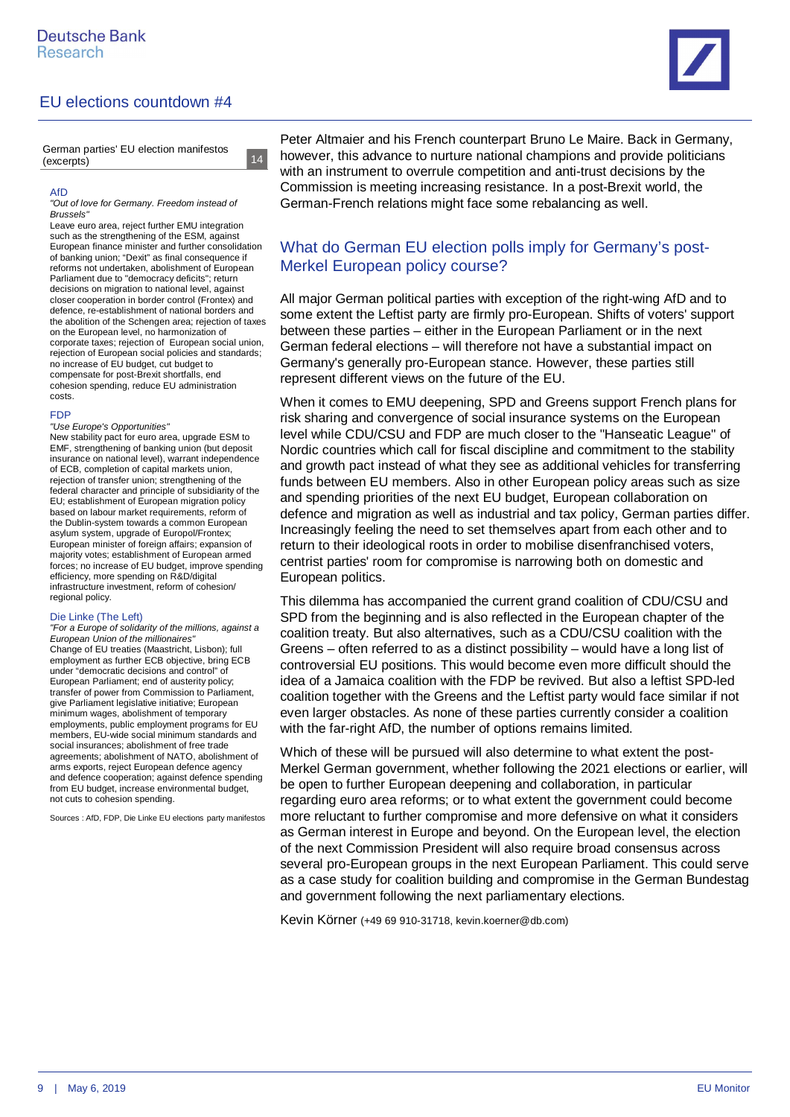

German parties' EU election manifestos (excerpts)

14

14

#### AfD

*"Out of love for Germany. Freedom instead of Brussels"*

Leave euro area, reject further EMU integration such as the strengthening of the ESM, against European finance minister and further consolidation of banking union; "Dexit" as final consequence if reforms not undertaken, abolishment of European Parliament due to "democracy deficits"; return decisions on migration to national level, against closer cooperation in border control (Frontex) and defence, re-establishment of national borders and the abolition of the Schengen area; rejection of taxes on the European level, no harmonization of corporate taxes; rejection of European social union, rejection of European social policies and standards; no increase of EU budget, cut budget to compensate for post-Brexit shortfalls, end cohesion spending, reduce EU administration costs.

#### FDP

*"Use Europe's Opportunities"*

New stability pact for euro area, upgrade ESM to EMF, strengthening of banking union (but deposit insurance on national level), warrant independence of ECB, completion of capital markets union, rejection of transfer union; strengthening of the federal character and principle of subsidiarity of the EU; establishment of European migration policy based on labour market requirements, reform of the Dublin-system towards a common European asylum system, upgrade of Europol/Frontex; European minister of foreign affairs; expansion of majority votes; establishment of European armed forces; no increase of EU budget, improve spending efficiency, more spending on R&D/digital infrastructure investment, reform of cohesion/ regional policy.

#### Die Linke (The Left)

*"For a Europe of solidarity of the millions, against a European Union of the millionaires"* Change of EU treaties (Maastricht, Lisbon); full employment as further ECB objective, bring ECB under "democratic decisions and control" of European Parliament; end of austerity policy; transfer of power from Commission to Parliament, give Parliament legislative initiative; European minimum wages, abolishment of temporary employments, public employment programs for EU members, EU-wide social minimum standards and social insurances; abolishment of free trade agreements; abolishment of NATO, abolishment of arms exports, reject European defence agency and defence cooperation; against defence spending from EU budget, increase environmental budget, not cuts to cohesion spending.

Sources : AfD, FDP, Die Linke EU elections party manifestos

Peter Altmaier and his French counterpart Bruno Le Maire. Back in Germany, however, this advance to nurture national champions and provide politicians with an instrument to overrule competition and anti-trust decisions by the Commission is meeting increasing resistance. In a post-Brexit world, the German-French relations might face some rebalancing as well.

### What do German EU election polls imply for Germany's post-Merkel European policy course?

All major German political parties with exception of the right-wing AfD and to some extent the Leftist party are firmly pro-European. Shifts of voters' support between these parties – either in the European Parliament or in the next German federal elections – will therefore not have a substantial impact on Germany's generally pro-European stance. However, these parties still represent different views on the future of the EU.

When it comes to EMU deepening, SPD and Greens support French plans for risk sharing and convergence of social insurance systems on the European level while CDU/CSU and FDP are much closer to the "Hanseatic League" of Nordic countries which call for fiscal discipline and commitment to the stability and growth pact instead of what they see as additional vehicles for transferring funds between EU members. Also in other European policy areas such as size and spending priorities of the next EU budget, European collaboration on defence and migration as well as industrial and tax policy, German parties differ. Increasingly feeling the need to set themselves apart from each other and to return to their ideological roots in order to mobilise disenfranchised voters, centrist parties' room for compromise is narrowing both on domestic and European politics.

This dilemma has accompanied the current grand coalition of CDU/CSU and SPD from the beginning and is also reflected in the European chapter of the coalition treaty. But also alternatives, such as a CDU/CSU coalition with the Greens – often referred to as a distinct possibility – would have a long list of controversial EU positions. This would become even more difficult should the idea of a Jamaica coalition with the FDP be revived. But also a leftist SPD-led coalition together with the Greens and the Leftist party would face similar if not even larger obstacles. As none of these parties currently consider a coalition with the far-right AfD, the number of options remains limited.

Which of these will be pursued will also determine to what extent the post-Merkel German government, whether following the 2021 elections or earlier, will be open to further European deepening and collaboration, in particular regarding euro area reforms; or to what extent the government could become more reluctant to further compromise and more defensive on what it considers as German interest in Europe and beyond. On the European level, the election of the next Commission President will also require broad consensus across several pro-European groups in the next European Parliament. This could serve as a case study for coalition building and compromise in the German Bundestag and government following the next parliamentary elections.

Kevin Körner (+49 69 910-31718, kevin.koerner@db.com)